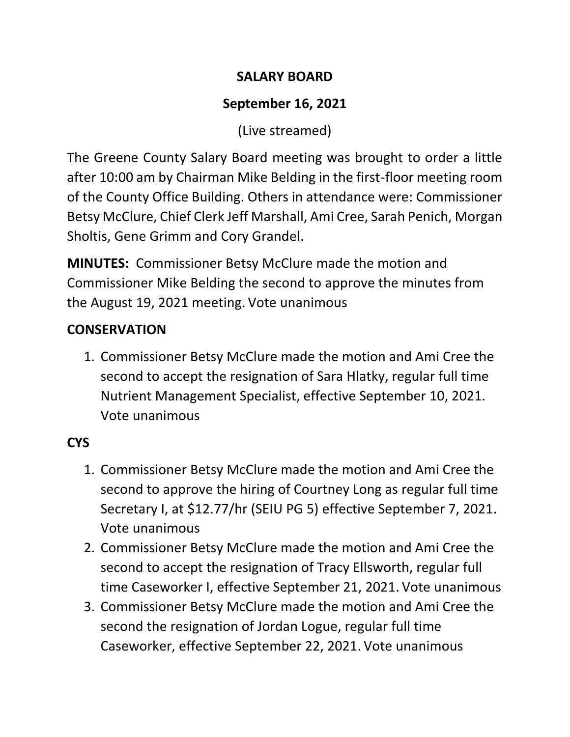## **SALARY BOARD**

# **September 16, 2021**

(Live streamed)

The Greene County Salary Board meeting was brought to order a little after 10:00 am by Chairman Mike Belding in the first-floor meeting room of the County Office Building. Others in attendance were: Commissioner Betsy McClure, Chief Clerk Jeff Marshall, Ami Cree, Sarah Penich, Morgan Sholtis, Gene Grimm and Cory Grandel.

**MINUTES:** Commissioner Betsy McClure made the motion and Commissioner Mike Belding the second to approve the minutes from the August 19, 2021 meeting. Vote unanimous

## **CONSERVATION**

1. Commissioner Betsy McClure made the motion and Ami Cree the second to accept the resignation of Sara Hlatky, regular full time Nutrient Management Specialist, effective September 10, 2021. Vote unanimous

## **CYS**

- 1. Commissioner Betsy McClure made the motion and Ami Cree the second to approve the hiring of Courtney Long as regular full time Secretary I, at \$12.77/hr (SEIU PG 5) effective September 7, 2021. Vote unanimous
- 2. Commissioner Betsy McClure made the motion and Ami Cree the second to accept the resignation of Tracy Ellsworth, regular full time Caseworker I, effective September 21, 2021. Vote unanimous
- 3. Commissioner Betsy McClure made the motion and Ami Cree the second the resignation of Jordan Logue, regular full time Caseworker, effective September 22, 2021. Vote unanimous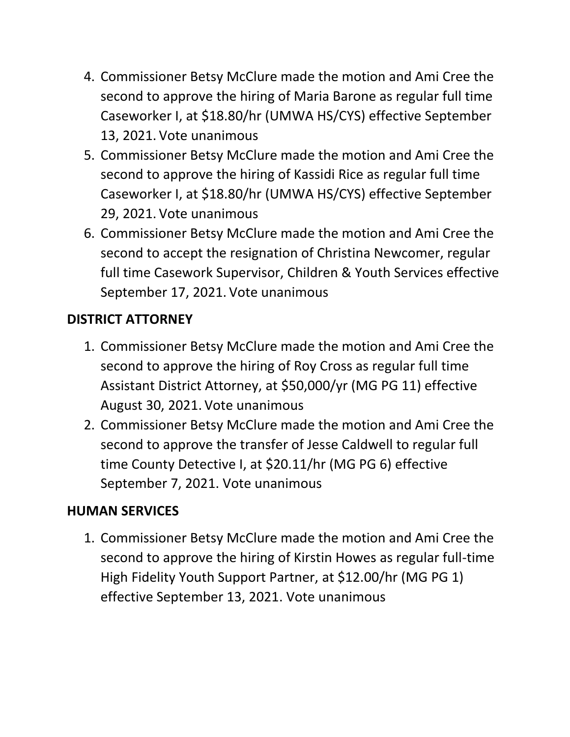- 4. Commissioner Betsy McClure made the motion and Ami Cree the second to approve the hiring of Maria Barone as regular full time Caseworker I, at \$18.80/hr (UMWA HS/CYS) effective September 13, 2021. Vote unanimous
- 5. Commissioner Betsy McClure made the motion and Ami Cree the second to approve the hiring of Kassidi Rice as regular full time Caseworker I, at \$18.80/hr (UMWA HS/CYS) effective September 29, 2021. Vote unanimous
- 6. Commissioner Betsy McClure made the motion and Ami Cree the second to accept the resignation of Christina Newcomer, regular full time Casework Supervisor, Children & Youth Services effective September 17, 2021. Vote unanimous

## **DISTRICT ATTORNEY**

- 1. Commissioner Betsy McClure made the motion and Ami Cree the second to approve the hiring of Roy Cross as regular full time Assistant District Attorney, at \$50,000/yr (MG PG 11) effective August 30, 2021. Vote unanimous
- 2. Commissioner Betsy McClure made the motion and Ami Cree the second to approve the transfer of Jesse Caldwell to regular full time County Detective I, at \$20.11/hr (MG PG 6) effective September 7, 2021. Vote unanimous

## **HUMAN SERVICES**

1. Commissioner Betsy McClure made the motion and Ami Cree the second to approve the hiring of Kirstin Howes as regular full-time High Fidelity Youth Support Partner, at \$12.00/hr (MG PG 1) effective September 13, 2021. Vote unanimous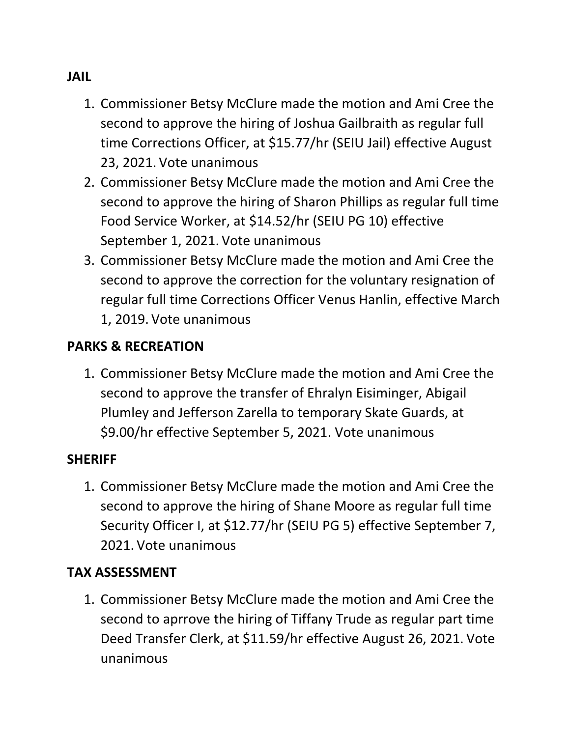#### **JAIL**

- 1. Commissioner Betsy McClure made the motion and Ami Cree the second to approve the hiring of Joshua Gailbraith as regular full time Corrections Officer, at \$15.77/hr (SEIU Jail) effective August 23, 2021. Vote unanimous
- 2. Commissioner Betsy McClure made the motion and Ami Cree the second to approve the hiring of Sharon Phillips as regular full time Food Service Worker, at \$14.52/hr (SEIU PG 10) effective September 1, 2021. Vote unanimous
- 3. Commissioner Betsy McClure made the motion and Ami Cree the second to approve the correction for the voluntary resignation of regular full time Corrections Officer Venus Hanlin, effective March 1, 2019. Vote unanimous

### **PARKS & RECREATION**

1. Commissioner Betsy McClure made the motion and Ami Cree the second to approve the transfer of Ehralyn Eisiminger, Abigail Plumley and Jefferson Zarella to temporary Skate Guards, at \$9.00/hr effective September 5, 2021. Vote unanimous

#### **SHERIFF**

1. Commissioner Betsy McClure made the motion and Ami Cree the second to approve the hiring of Shane Moore as regular full time Security Officer I, at \$12.77/hr (SEIU PG 5) effective September 7, 2021. Vote unanimous

#### **TAX ASSESSMENT**

1. Commissioner Betsy McClure made the motion and Ami Cree the second to aprrove the hiring of Tiffany Trude as regular part time Deed Transfer Clerk, at \$11.59/hr effective August 26, 2021. Vote unanimous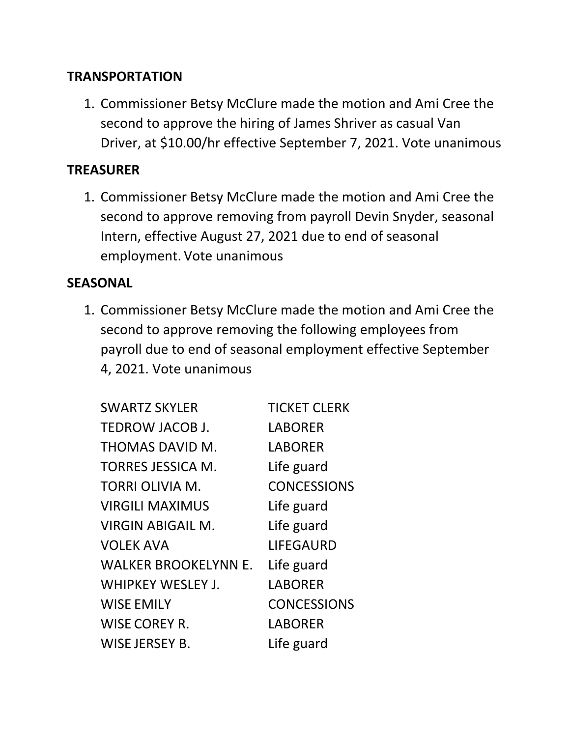#### **TRANSPORTATION**

1. Commissioner Betsy McClure made the motion and Ami Cree the second to approve the hiring of James Shriver as casual Van Driver, at \$10.00/hr effective September 7, 2021. Vote unanimous

#### **TREASURER**

1. Commissioner Betsy McClure made the motion and Ami Cree the second to approve removing from payroll Devin Snyder, seasonal Intern, effective August 27, 2021 due to end of seasonal employment. Vote unanimous

#### **SEASONAL**

1. Commissioner Betsy McClure made the motion and Ami Cree the second to approve removing the following employees from payroll due to end of seasonal employment effective September 4, 2021. Vote unanimous

| <b>SWARTZ SKYLER</b>        | <b>TICKET CLERK</b> |
|-----------------------------|---------------------|
| TEDROW JACOB J.             | <b>LABORER</b>      |
| THOMAS DAVID M.             | <b>LABORER</b>      |
| TORRES JESSICA M.           | Life guard          |
| TORRI OLIVIA M.             | <b>CONCESSIONS</b>  |
| <b>VIRGILI MAXIMUS</b>      | Life guard          |
| <b>VIRGIN ABIGAIL M.</b>    | Life guard          |
| <b>VOLEK AVA</b>            | <b>LIFEGAURD</b>    |
| <b>WALKER BROOKELYNN E.</b> | Life guard          |
| <b>WHIPKEY WESLEY J.</b>    | <b>LABORER</b>      |
| <b>WISE EMILY</b>           | <b>CONCESSIONS</b>  |
| <b>WISE COREY R.</b>        | <b>LABORER</b>      |
| <b>WISE JERSEY B.</b>       | Life guard          |